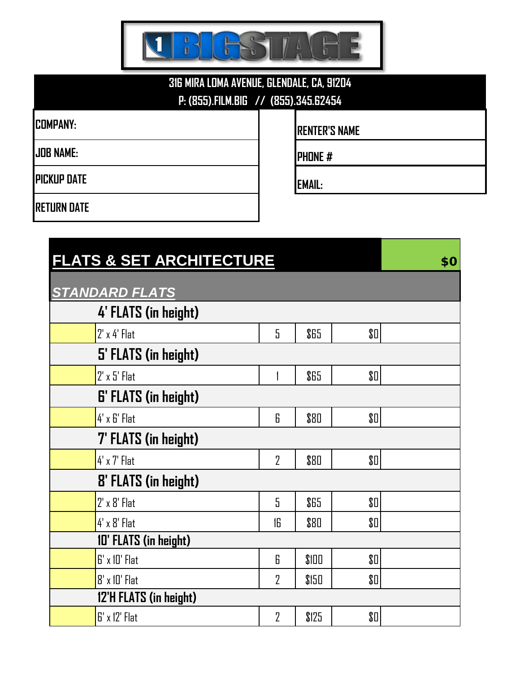

## **316 MIRA LOMA AVENUE, GLENDALE, CA, 91204 P: (855).FILM.BIG // (855).345.62454**

**PICKUP DATE EMAIL:**

**COMPANY: RENTER'S NAME** 

**JOB NAME: PHONE #**

**RETURN DATE**

| <b>FLATS &amp; SET ARCHITECTURE</b> | \$0            |       |       |  |  |  |
|-------------------------------------|----------------|-------|-------|--|--|--|
| <b>STANDARD FLATS</b>               |                |       |       |  |  |  |
| 4' FLATS (in height)                |                |       |       |  |  |  |
| $2'$ x 4' Flat                      | 5              | \$65  | \$0\$ |  |  |  |
| 5' FLATS (in height)                |                |       |       |  |  |  |
| $2' \times 5'$ Flat                 | 1              | \$65  | \$0\$ |  |  |  |
| <b>6' FLATS (in height)</b>         |                |       |       |  |  |  |
| 4' x 6' Flat                        | 6              | \$80  | \$0   |  |  |  |
| <b>7' FLATS (in height)</b>         |                |       |       |  |  |  |
| $4' \times 7'$ Flat                 | $\overline{2}$ | \$80  | \$0\$ |  |  |  |
| <b>8' FLATS (in height)</b>         |                |       |       |  |  |  |
| $2' \times 8'$ Flat                 | 5              | \$65  | \$0   |  |  |  |
| $4' \times 8'$ Flat                 | 16             | \$80  | \$0\$ |  |  |  |
| 10' FLATS (in height)               |                |       |       |  |  |  |
| G' x 10' Flat                       | 6              | \$100 | \$0   |  |  |  |
| 8' x 10' Flat                       | $\overline{2}$ | \$150 | \$0   |  |  |  |
| 12'H FLATS (in height)              |                |       |       |  |  |  |
| $B'$ x 12' Flat                     | $\overline{2}$ | \$125 | \$0   |  |  |  |